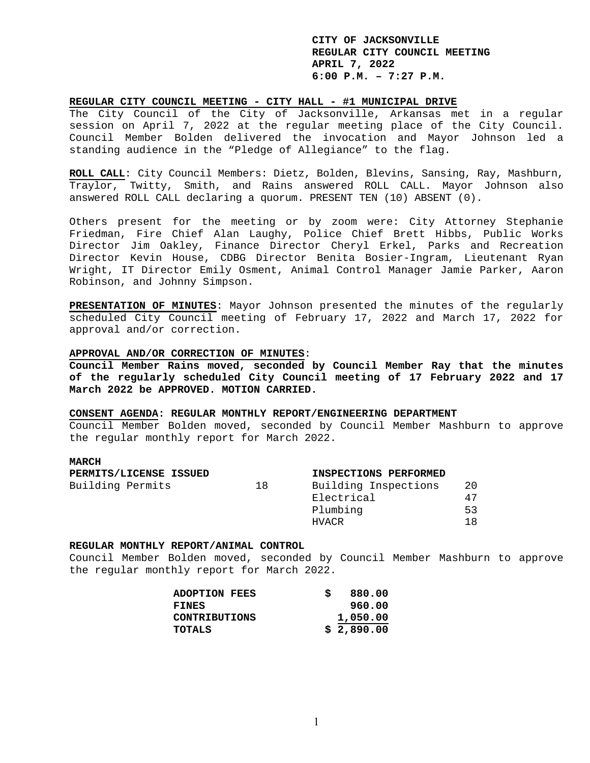## **REGULAR CITY COUNCIL MEETING - CITY HALL - #1 MUNICIPAL DRIVE**

The City Council of the City of Jacksonville, Arkansas met in a regular session on April 7, 2022 at the regular meeting place of the City Council. Council Member Bolden delivered the invocation and Mayor Johnson led a standing audience in the "Pledge of Allegiance" to the flag.

**ROLL CALL**: City Council Members: Dietz, Bolden, Blevins, Sansing, Ray, Mashburn, Traylor, Twitty, Smith, and Rains answered ROLL CALL. Mayor Johnson also answered ROLL CALL declaring a quorum. PRESENT TEN (10) ABSENT (0).

Others present for the meeting or by zoom were: City Attorney Stephanie Friedman, Fire Chief Alan Laughy, Police Chief Brett Hibbs, Public Works Director Jim Oakley, Finance Director Cheryl Erkel, Parks and Recreation Director Kevin House, CDBG Director Benita Bosier-Ingram, Lieutenant Ryan Wright, IT Director Emily Osment, Animal Control Manager Jamie Parker, Aaron Robinson, and Johnny Simpson.

**PRESENTATION OF MINUTES**: Mayor Johnson presented the minutes of the regularly scheduled City Council meeting of February 17, 2022 and March 17, 2022 for approval and/or correction.

#### **APPROVAL AND/OR CORRECTION OF MINUTES**:

**Council Member Rains moved, seconded by Council Member Ray that the minutes of the regularly scheduled City Council meeting of 17 February 2022 and 17 March 2022 be APPROVED. MOTION CARRIED.** 

## **CONSENT AGENDA: REGULAR MONTHLY REPORT/ENGINEERING DEPARTMENT**

Council Member Bolden moved, seconded by Council Member Mashburn to approve the regular monthly report for March 2022.

## **MARCH**

| PERMITS/LICENSE ISSUED |    | INSPECTIONS PERFORMED |     |
|------------------------|----|-----------------------|-----|
| Building Permits       | 18 | Building Inspections  | -20 |
|                        |    | Electrical            | 47  |
|                        |    | Plumbing              | -53 |
|                        |    | HVACR                 | 1 R |

## **REGULAR MONTHLY REPORT/ANIMAL CONTROL**

Council Member Bolden moved, seconded by Council Member Mashburn to approve the regular monthly report for March 2022.

| <b>ADOPTION FEES</b> | 880.00     |
|----------------------|------------|
| <b>FINES</b>         | 960.00     |
| <b>CONTRIBUTIONS</b> | 1,050.00   |
| TOTALS               | \$2,890.00 |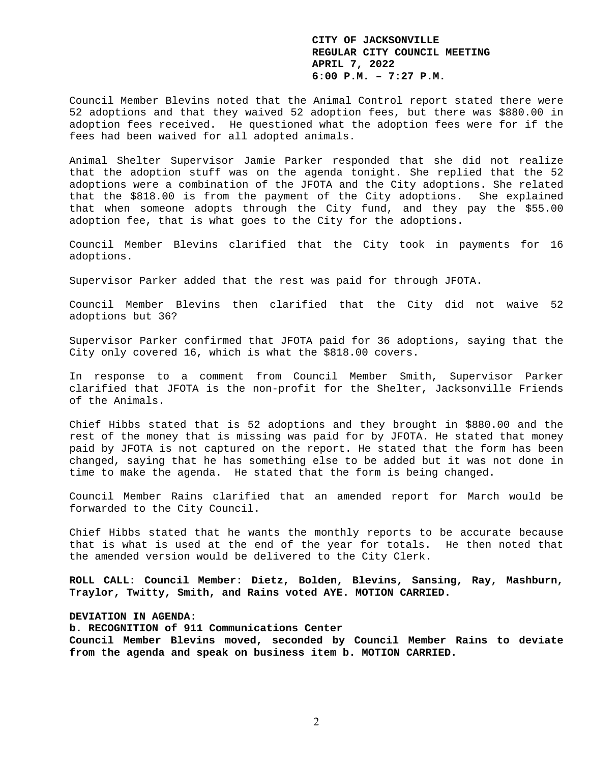Council Member Blevins noted that the Animal Control report stated there were 52 adoptions and that they waived 52 adoption fees, but there was \$880.00 in adoption fees received. He questioned what the adoption fees were for if the fees had been waived for all adopted animals.

Animal Shelter Supervisor Jamie Parker responded that she did not realize that the adoption stuff was on the agenda tonight. She replied that the 52 adoptions were a combination of the JFOTA and the City adoptions. She related that the \$818.00 is from the payment of the City adoptions. She explained that when someone adopts through the City fund, and they pay the \$55.00 adoption fee, that is what goes to the City for the adoptions.

Council Member Blevins clarified that the City took in payments for 16 adoptions.

Supervisor Parker added that the rest was paid for through JFOTA.

Council Member Blevins then clarified that the City did not waive 52 adoptions but 36?

Supervisor Parker confirmed that JFOTA paid for 36 adoptions, saying that the City only covered 16, which is what the \$818.00 covers.

In response to a comment from Council Member Smith, Supervisor Parker clarified that JFOTA is the non-profit for the Shelter, Jacksonville Friends of the Animals.

Chief Hibbs stated that is 52 adoptions and they brought in \$880.00 and the rest of the money that is missing was paid for by JFOTA. He stated that money paid by JFOTA is not captured on the report. He stated that the form has been changed, saying that he has something else to be added but it was not done in time to make the agenda. He stated that the form is being changed.

Council Member Rains clarified that an amended report for March would be forwarded to the City Council.

Chief Hibbs stated that he wants the monthly reports to be accurate because that is what is used at the end of the year for totals. He then noted that the amended version would be delivered to the City Clerk.

**ROLL CALL: Council Member: Dietz, Bolden, Blevins, Sansing, Ray, Mashburn, Traylor, Twitty, Smith, and Rains voted AYE. MOTION CARRIED.** 

# **DEVIATION IN AGENDA**:

**b. RECOGNITION of 911 Communications Center Council Member Blevins moved, seconded by Council Member Rains to deviate from the agenda and speak on business item b. MOTION CARRIED.**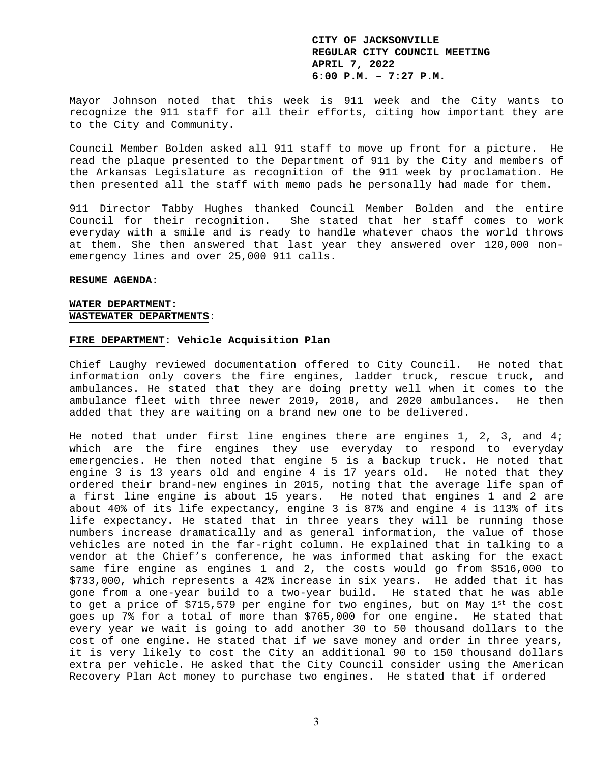Mayor Johnson noted that this week is 911 week and the City wants to recognize the 911 staff for all their efforts, citing how important they are to the City and Community.

Council Member Bolden asked all 911 staff to move up front for a picture. He read the plaque presented to the Department of 911 by the City and members of the Arkansas Legislature as recognition of the 911 week by proclamation. He then presented all the staff with memo pads he personally had made for them.

911 Director Tabby Hughes thanked Council Member Bolden and the entire Council for their recognition. She stated that her staff comes to work everyday with a smile and is ready to handle whatever chaos the world throws at them. She then answered that last year they answered over 120,000 nonemergency lines and over 25,000 911 calls.

#### **RESUME AGENDA:**

### **WATER DEPARTMENT: WASTEWATER DEPARTMENTS:**

#### **FIRE DEPARTMENT: Vehicle Acquisition Plan**

Chief Laughy reviewed documentation offered to City Council. He noted that information only covers the fire engines, ladder truck, rescue truck, and ambulances. He stated that they are doing pretty well when it comes to the ambulance fleet with three newer 2019, 2018, and 2020 ambulances. He then added that they are waiting on a brand new one to be delivered.

He noted that under first line engines there are engines 1, 2, 3, and 4; which are the fire engines they use everyday to respond to everyday emergencies. He then noted that engine 5 is a backup truck. He noted that engine 3 is 13 years old and engine 4 is 17 years old. He noted that they ordered their brand-new engines in 2015, noting that the average life span of a first line engine is about 15 years. He noted that engines 1 and 2 are about 40% of its life expectancy, engine 3 is 87% and engine 4 is 113% of its life expectancy. He stated that in three years they will be running those numbers increase dramatically and as general information, the value of those vehicles are noted in the far-right column. He explained that in talking to a vendor at the Chief's conference, he was informed that asking for the exact same fire engine as engines 1 and 2, the costs would go from \$516,000 to \$733,000, which represents a 42% increase in six years. He added that it has gone from a one-year build to a two-year build. He stated that he was able to get a price of  $$715,579$  per engine for two engines, but on May  $1^{st}$  the cost goes up 7% for a total of more than \$765,000 for one engine. He stated that every year we wait is going to add another 30 to 50 thousand dollars to the cost of one engine. He stated that if we save money and order in three years, it is very likely to cost the City an additional 90 to 150 thousand dollars extra per vehicle. He asked that the City Council consider using the American Recovery Plan Act money to purchase two engines. He stated that if ordered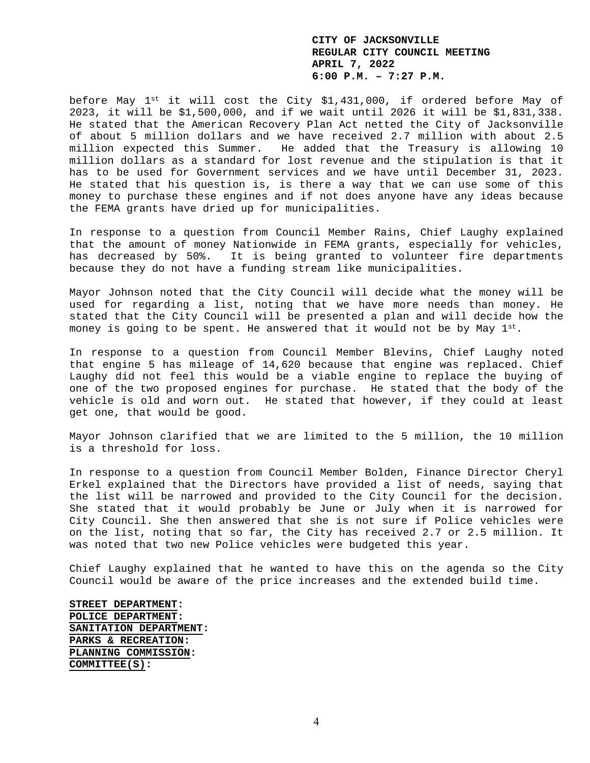before May 1st it will cost the City \$1,431,000, if ordered before May of 2023, it will be \$1,500,000, and if we wait until 2026 it will be \$1,831,338. He stated that the American Recovery Plan Act netted the City of Jacksonville of about 5 million dollars and we have received 2.7 million with about 2.5 million expected this Summer. He added that the Treasury is allowing 10 million dollars as a standard for lost revenue and the stipulation is that it has to be used for Government services and we have until December 31, 2023. He stated that his question is, is there a way that we can use some of this money to purchase these engines and if not does anyone have any ideas because the FEMA grants have dried up for municipalities.

In response to a question from Council Member Rains, Chief Laughy explained that the amount of money Nationwide in FEMA grants, especially for vehicles, has decreased by 50%. It is being granted to volunteer fire departments because they do not have a funding stream like municipalities.

Mayor Johnson noted that the City Council will decide what the money will be used for regarding a list, noting that we have more needs than money. He stated that the City Council will be presented a plan and will decide how the money is going to be spent. He answered that it would not be by May  $1^{st}$ .

In response to a question from Council Member Blevins, Chief Laughy noted that engine 5 has mileage of 14,620 because that engine was replaced. Chief Laughy did not feel this would be a viable engine to replace the buying of one of the two proposed engines for purchase. He stated that the body of the vehicle is old and worn out. He stated that however, if they could at least get one, that would be good.

Mayor Johnson clarified that we are limited to the 5 million, the 10 million is a threshold for loss.

In response to a question from Council Member Bolden, Finance Director Cheryl Erkel explained that the Directors have provided a list of needs, saying that the list will be narrowed and provided to the City Council for the decision. She stated that it would probably be June or July when it is narrowed for City Council. She then answered that she is not sure if Police vehicles were on the list, noting that so far, the City has received 2.7 or 2.5 million. It was noted that two new Police vehicles were budgeted this year.

Chief Laughy explained that he wanted to have this on the agenda so the City Council would be aware of the price increases and the extended build time.

**STREET DEPARTMENT: POLICE DEPARTMENT: SANITATION DEPARTMENT: PARKS & RECREATION: PLANNING COMMISSION: COMMITTEE(S):**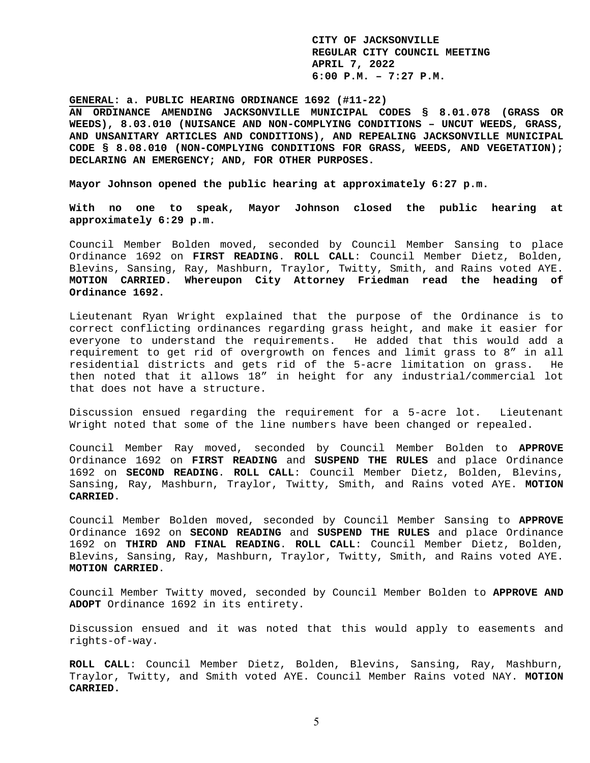**GENERAL: a. PUBLIC HEARING ORDINANCE 1692 (#11-22)** 

**AN ORDINANCE AMENDING JACKSONVILLE MUNICIPAL CODES § 8.01.078 (GRASS OR WEEDS), 8.03.010 (NUISANCE AND NON-COMPLYING CONDITIONS – UNCUT WEEDS, GRASS, AND UNSANITARY ARTICLES AND CONDITIONS), AND REPEALING JACKSONVILLE MUNICIPAL CODE § 8.08.010 (NON-COMPLYING CONDITIONS FOR GRASS, WEEDS, AND VEGETATION); DECLARING AN EMERGENCY; AND, FOR OTHER PURPOSES.** 

**Mayor Johnson opened the public hearing at approximately 6:27 p.m.** 

**With no one to speak, Mayor Johnson closed the public hearing at approximately 6:29 p.m.** 

Council Member Bolden moved, seconded by Council Member Sansing to place Ordinance 1692 on **FIRST READING**. **ROLL CALL**: Council Member Dietz, Bolden, Blevins, Sansing, Ray, Mashburn, Traylor, Twitty, Smith, and Rains voted AYE. **MOTION CARRIED. Whereupon City Attorney Friedman read the heading of Ordinance 1692.** 

Lieutenant Ryan Wright explained that the purpose of the Ordinance is to correct conflicting ordinances regarding grass height, and make it easier for everyone to understand the requirements. He added that this would add a requirement to get rid of overgrowth on fences and limit grass to 8" in all residential districts and gets rid of the 5-acre limitation on grass. He then noted that it allows 18" in height for any industrial/commercial lot that does not have a structure.

Discussion ensued regarding the requirement for a 5-acre lot. Lieutenant Wright noted that some of the line numbers have been changed or repealed.

Council Member Ray moved, seconded by Council Member Bolden to **APPROVE** Ordinance 1692 on **FIRST READING** and **SUSPEND THE RULES** and place Ordinance 1692 on **SECOND READING**. **ROLL CALL**: Council Member Dietz, Bolden, Blevins, Sansing, Ray, Mashburn, Traylor, Twitty, Smith, and Rains voted AYE. **MOTION CARRIED**.

Council Member Bolden moved, seconded by Council Member Sansing to **APPROVE** Ordinance 1692 on **SECOND READING** and **SUSPEND THE RULES** and place Ordinance 1692 on **THIRD AND FINAL READING**. **ROLL CALL**: Council Member Dietz, Bolden, Blevins, Sansing, Ray, Mashburn, Traylor, Twitty, Smith, and Rains voted AYE. **MOTION CARRIED**.

Council Member Twitty moved, seconded by Council Member Bolden to **APPROVE AND ADOPT** Ordinance 1692 in its entirety.

Discussion ensued and it was noted that this would apply to easements and rights-of-way.

**ROLL CALL**: Council Member Dietz, Bolden, Blevins, Sansing, Ray, Mashburn, Traylor, Twitty, and Smith voted AYE. Council Member Rains voted NAY. **MOTION CARRIED.**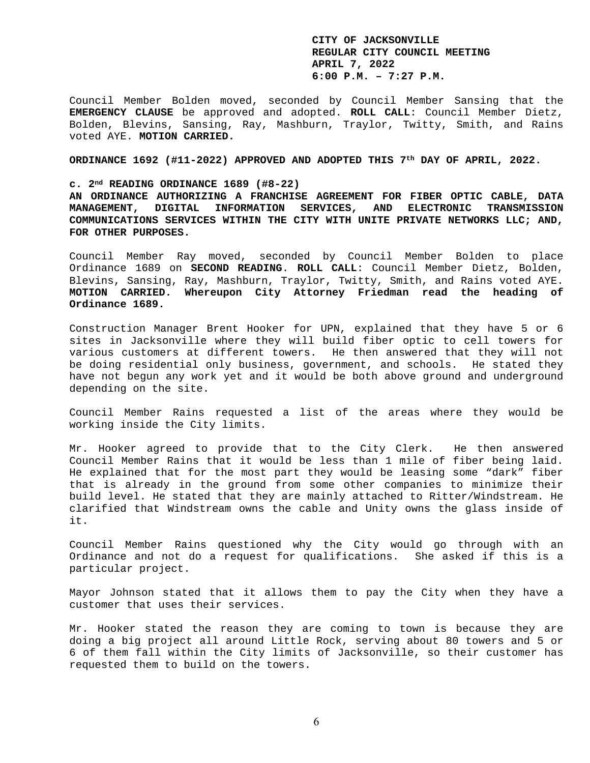Council Member Bolden moved, seconded by Council Member Sansing that the **EMERGENCY CLAUSE** be approved and adopted. **ROLL CALL**: Council Member Dietz, Bolden, Blevins, Sansing, Ray, Mashburn, Traylor, Twitty, Smith, and Rains voted AYE. **MOTION CARRIED.** 

**ORDINANCE 1692 (#11-2022) APPROVED AND ADOPTED THIS 7th DAY OF APRIL, 2022.** 

#### **c. 2nd READING ORDINANCE 1689 (#8-22)**

**AN ORDINANCE AUTHORIZING A FRANCHISE AGREEMENT FOR FIBER OPTIC CABLE, DATA MANAGEMENT, DIGITAL INFORMATION SERVICES, AND ELECTRONIC TRANSMISSION COMMUNICATIONS SERVICES WITHIN THE CITY WITH UNITE PRIVATE NETWORKS LLC; AND, FOR OTHER PURPOSES.** 

Council Member Ray moved, seconded by Council Member Bolden to place Ordinance 1689 on **SECOND READING**. **ROLL CALL**: Council Member Dietz, Bolden, Blevins, Sansing, Ray, Mashburn, Traylor, Twitty, Smith, and Rains voted AYE. **MOTION CARRIED. Whereupon City Attorney Friedman read the heading of Ordinance 1689.** 

Construction Manager Brent Hooker for UPN, explained that they have 5 or 6 sites in Jacksonville where they will build fiber optic to cell towers for various customers at different towers. He then answered that they will not be doing residential only business, government, and schools. He stated they have not begun any work yet and it would be both above ground and underground depending on the site.

Council Member Rains requested a list of the areas where they would be working inside the City limits.

Mr. Hooker agreed to provide that to the City Clerk. He then answered Council Member Rains that it would be less than 1 mile of fiber being laid. He explained that for the most part they would be leasing some "dark" fiber that is already in the ground from some other companies to minimize their build level. He stated that they are mainly attached to Ritter/Windstream. He clarified that Windstream owns the cable and Unity owns the glass inside of it.

Council Member Rains questioned why the City would go through with an Ordinance and not do a request for qualifications. She asked if this is a particular project.

Mayor Johnson stated that it allows them to pay the City when they have a customer that uses their services.

Mr. Hooker stated the reason they are coming to town is because they are doing a big project all around Little Rock, serving about 80 towers and 5 or 6 of them fall within the City limits of Jacksonville, so their customer has requested them to build on the towers.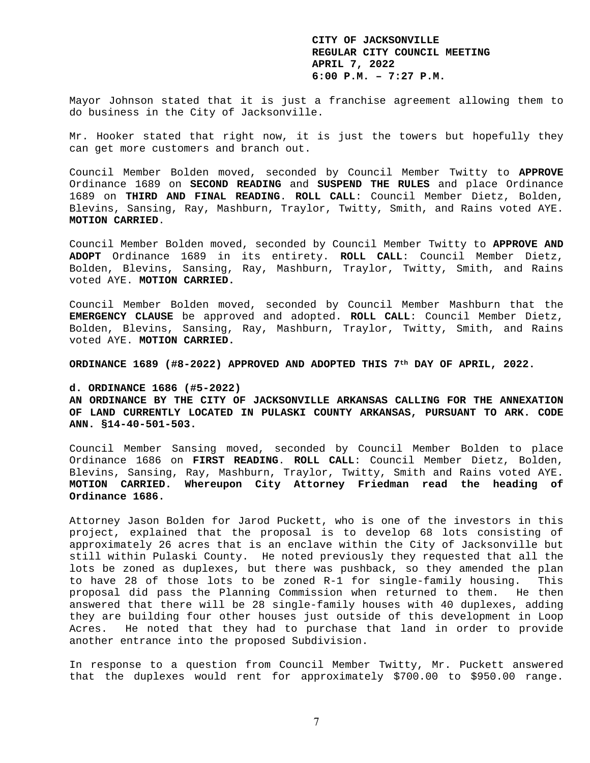Mayor Johnson stated that it is just a franchise agreement allowing them to do business in the City of Jacksonville.

Mr. Hooker stated that right now, it is just the towers but hopefully they can get more customers and branch out.

Council Member Bolden moved, seconded by Council Member Twitty to **APPROVE** Ordinance 1689 on **SECOND READING** and **SUSPEND THE RULES** and place Ordinance 1689 on **THIRD AND FINAL READING**. **ROLL CALL**: Council Member Dietz, Bolden, Blevins, Sansing, Ray, Mashburn, Traylor, Twitty, Smith, and Rains voted AYE. **MOTION CARRIED**.

Council Member Bolden moved, seconded by Council Member Twitty to **APPROVE AND ADOPT** Ordinance 1689 in its entirety. **ROLL CALL**: Council Member Dietz, Bolden, Blevins, Sansing, Ray, Mashburn, Traylor, Twitty, Smith, and Rains voted AYE. **MOTION CARRIED.** 

Council Member Bolden moved, seconded by Council Member Mashburn that the **EMERGENCY CLAUSE** be approved and adopted. **ROLL CALL**: Council Member Dietz, Bolden, Blevins, Sansing, Ray, Mashburn, Traylor, Twitty, Smith, and Rains voted AYE. **MOTION CARRIED.** 

**ORDINANCE 1689 (#8-2022) APPROVED AND ADOPTED THIS 7th DAY OF APRIL, 2022.** 

## **d. ORDINANCE 1686 (#5-2022)**

**AN ORDINANCE BY THE CITY OF JACKSONVILLE ARKANSAS CALLING FOR THE ANNEXATION OF LAND CURRENTLY LOCATED IN PULASKI COUNTY ARKANSAS, PURSUANT TO ARK. CODE ANN. §14-40-501-503.** 

Council Member Sansing moved, seconded by Council Member Bolden to place Ordinance 1686 on **FIRST READING**. **ROLL CALL**: Council Member Dietz, Bolden, Blevins, Sansing, Ray, Mashburn, Traylor, Twitty, Smith and Rains voted AYE. **MOTION CARRIED. Whereupon City Attorney Friedman read the heading of Ordinance 1686.** 

Attorney Jason Bolden for Jarod Puckett, who is one of the investors in this project, explained that the proposal is to develop 68 lots consisting of approximately 26 acres that is an enclave within the City of Jacksonville but still within Pulaski County. He noted previously they requested that all the lots be zoned as duplexes, but there was pushback, so they amended the plan to have 28 of those lots to be zoned R-1 for single-family housing. This proposal did pass the Planning Commission when returned to them. He then answered that there will be 28 single-family houses with 40 duplexes, adding they are building four other houses just outside of this development in Loop Acres. He noted that they had to purchase that land in order to provide another entrance into the proposed Subdivision.

In response to a question from Council Member Twitty, Mr. Puckett answered that the duplexes would rent for approximately \$700.00 to \$950.00 range.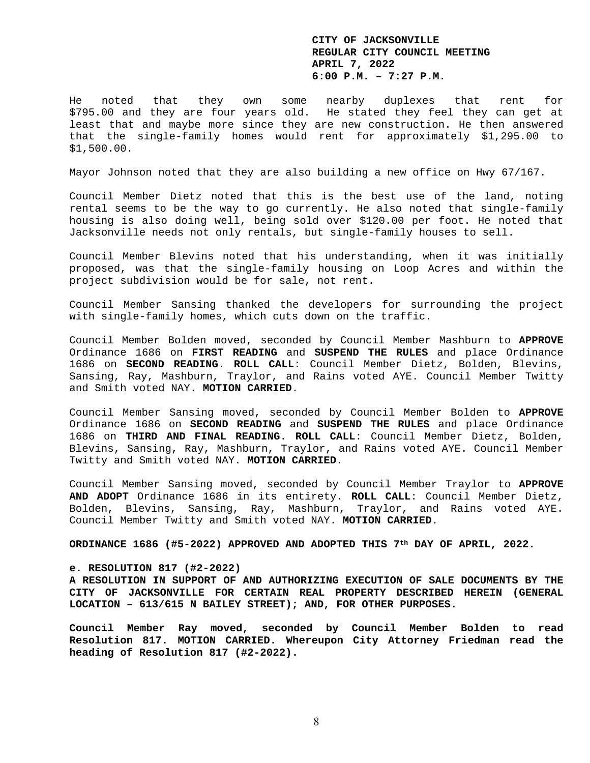He noted that they own some nearby duplexes that rent for \$795.00 and they are four years old. He stated they feel they can get at least that and maybe more since they are new construction. He then answered that the single-family homes would rent for approximately \$1,295.00 to \$1,500.00.

Mayor Johnson noted that they are also building a new office on Hwy 67/167.

Council Member Dietz noted that this is the best use of the land, noting rental seems to be the way to go currently. He also noted that single-family housing is also doing well, being sold over \$120.00 per foot. He noted that Jacksonville needs not only rentals, but single-family houses to sell.

Council Member Blevins noted that his understanding, when it was initially proposed, was that the single-family housing on Loop Acres and within the project subdivision would be for sale, not rent.

Council Member Sansing thanked the developers for surrounding the project with single-family homes, which cuts down on the traffic.

Council Member Bolden moved, seconded by Council Member Mashburn to **APPROVE** Ordinance 1686 on **FIRST READING** and **SUSPEND THE RULES** and place Ordinance 1686 on **SECOND READING**. **ROLL CALL**: Council Member Dietz, Bolden, Blevins, Sansing, Ray, Mashburn, Traylor, and Rains voted AYE. Council Member Twitty and Smith voted NAY. **MOTION CARRIED**.

Council Member Sansing moved, seconded by Council Member Bolden to **APPROVE** Ordinance 1686 on **SECOND READING** and **SUSPEND THE RULES** and place Ordinance 1686 on **THIRD AND FINAL READING**. **ROLL CALL**: Council Member Dietz, Bolden, Blevins, Sansing, Ray, Mashburn, Traylor, and Rains voted AYE. Council Member Twitty and Smith voted NAY. **MOTION CARRIED**.

Council Member Sansing moved, seconded by Council Member Traylor to **APPROVE AND ADOPT** Ordinance 1686 in its entirety. **ROLL CALL**: Council Member Dietz, Bolden, Blevins, Sansing, Ray, Mashburn, Traylor, and Rains voted AYE. Council Member Twitty and Smith voted NAY. **MOTION CARRIED**.

**ORDINANCE 1686 (#5-2022) APPROVED AND ADOPTED THIS 7th DAY OF APRIL, 2022.** 

## **e. RESOLUTION 817 (#2-2022)**

**A RESOLUTION IN SUPPORT OF AND AUTHORIZING EXECUTION OF SALE DOCUMENTS BY THE CITY OF JACKSONVILLE FOR CERTAIN REAL PROPERTY DESCRIBED HEREIN (GENERAL LOCATION – 613/615 N BAILEY STREET); AND, FOR OTHER PURPOSES.** 

**Council Member Ray moved, seconded by Council Member Bolden to read Resolution 817. MOTION CARRIED. Whereupon City Attorney Friedman read the heading of Resolution 817 (#2-2022).**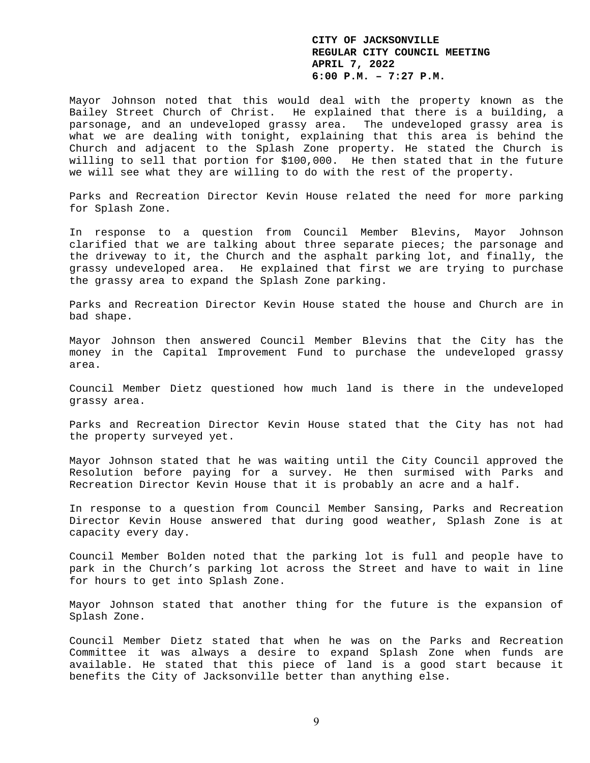Mayor Johnson noted that this would deal with the property known as the Bailey Street Church of Christ. He explained that there is a building, a parsonage, and an undeveloped grassy area. The undeveloped grassy area is what we are dealing with tonight, explaining that this area is behind the Church and adjacent to the Splash Zone property. He stated the Church is willing to sell that portion for \$100,000. He then stated that in the future we will see what they are willing to do with the rest of the property.

Parks and Recreation Director Kevin House related the need for more parking for Splash Zone.

In response to a question from Council Member Blevins, Mayor Johnson clarified that we are talking about three separate pieces; the parsonage and the driveway to it, the Church and the asphalt parking lot, and finally, the grassy undeveloped area. He explained that first we are trying to purchase the grassy area to expand the Splash Zone parking.

Parks and Recreation Director Kevin House stated the house and Church are in bad shape.

Mayor Johnson then answered Council Member Blevins that the City has the money in the Capital Improvement Fund to purchase the undeveloped grassy area.

Council Member Dietz questioned how much land is there in the undeveloped grassy area.

Parks and Recreation Director Kevin House stated that the City has not had the property surveyed yet.

Mayor Johnson stated that he was waiting until the City Council approved the Resolution before paying for a survey. He then surmised with Parks and Recreation Director Kevin House that it is probably an acre and a half.

In response to a question from Council Member Sansing, Parks and Recreation Director Kevin House answered that during good weather, Splash Zone is at capacity every day.

Council Member Bolden noted that the parking lot is full and people have to park in the Church's parking lot across the Street and have to wait in line for hours to get into Splash Zone.

Mayor Johnson stated that another thing for the future is the expansion of Splash Zone.

Council Member Dietz stated that when he was on the Parks and Recreation Committee it was always a desire to expand Splash Zone when funds are available. He stated that this piece of land is a good start because it benefits the City of Jacksonville better than anything else.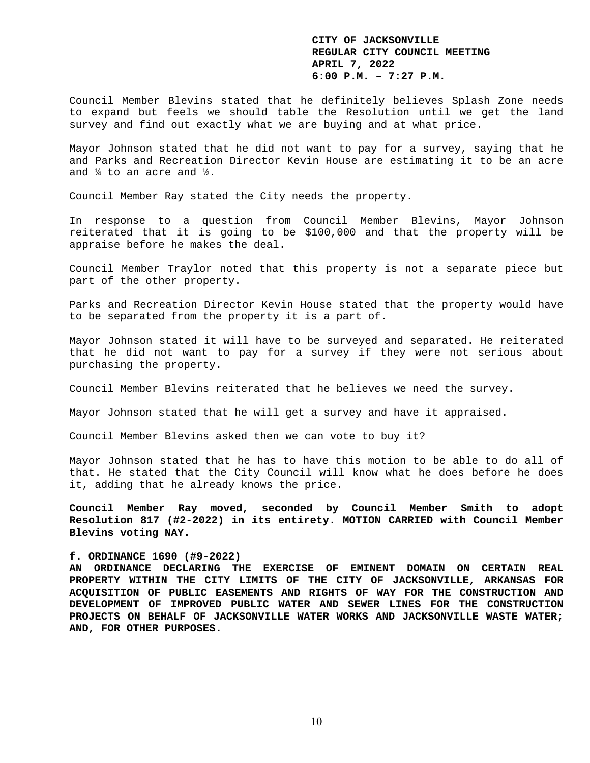Council Member Blevins stated that he definitely believes Splash Zone needs to expand but feels we should table the Resolution until we get the land survey and find out exactly what we are buying and at what price.

Mayor Johnson stated that he did not want to pay for a survey, saying that he and Parks and Recreation Director Kevin House are estimating it to be an acre and ¼ to an acre and ½.

Council Member Ray stated the City needs the property.

In response to a question from Council Member Blevins, Mayor Johnson reiterated that it is going to be \$100,000 and that the property will be appraise before he makes the deal.

Council Member Traylor noted that this property is not a separate piece but part of the other property.

Parks and Recreation Director Kevin House stated that the property would have to be separated from the property it is a part of.

Mayor Johnson stated it will have to be surveyed and separated. He reiterated that he did not want to pay for a survey if they were not serious about purchasing the property.

Council Member Blevins reiterated that he believes we need the survey.

Mayor Johnson stated that he will get a survey and have it appraised.

Council Member Blevins asked then we can vote to buy it?

Mayor Johnson stated that he has to have this motion to be able to do all of that. He stated that the City Council will know what he does before he does it, adding that he already knows the price.

**Council Member Ray moved, seconded by Council Member Smith to adopt Resolution 817 (#2-2022) in its entirety. MOTION CARRIED with Council Member Blevins voting NAY.** 

#### **f. ORDINANCE 1690 (#9-2022)**

**AN ORDINANCE DECLARING THE EXERCISE OF EMINENT DOMAIN ON CERTAIN REAL PROPERTY WITHIN THE CITY LIMITS OF THE CITY OF JACKSONVILLE, ARKANSAS FOR ACQUISITION OF PUBLIC EASEMENTS AND RIGHTS OF WAY FOR THE CONSTRUCTION AND DEVELOPMENT OF IMPROVED PUBLIC WATER AND SEWER LINES FOR THE CONSTRUCTION PROJECTS ON BEHALF OF JACKSONVILLE WATER WORKS AND JACKSONVILLE WASTE WATER; AND, FOR OTHER PURPOSES.**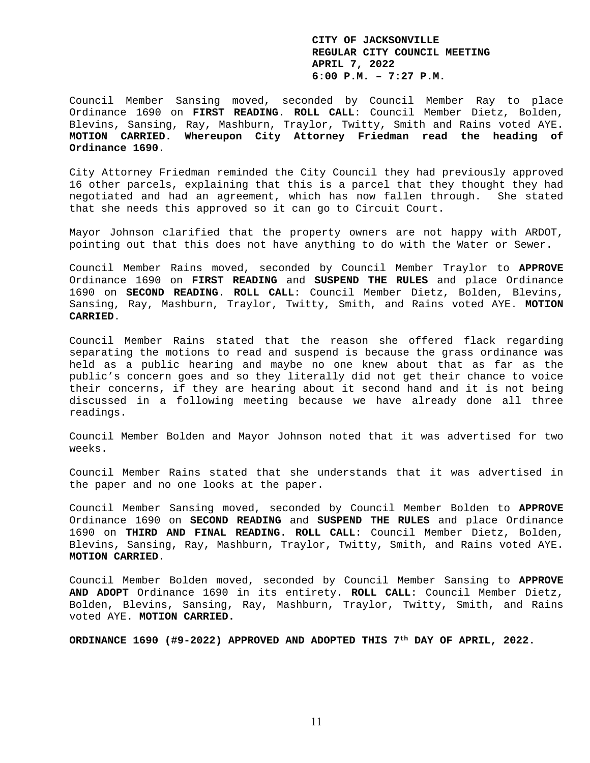Council Member Sansing moved, seconded by Council Member Ray to place Ordinance 1690 on **FIRST READING**. **ROLL CALL**: Council Member Dietz, Bolden, Blevins, Sansing, Ray, Mashburn, Traylor, Twitty, Smith and Rains voted AYE. **MOTION CARRIED. Whereupon City Attorney Friedman read the heading of Ordinance 1690.** 

City Attorney Friedman reminded the City Council they had previously approved 16 other parcels, explaining that this is a parcel that they thought they had negotiated and had an agreement, which has now fallen through. She stated that she needs this approved so it can go to Circuit Court.

Mayor Johnson clarified that the property owners are not happy with ARDOT, pointing out that this does not have anything to do with the Water or Sewer.

Council Member Rains moved, seconded by Council Member Traylor to **APPROVE** Ordinance 1690 on **FIRST READING** and **SUSPEND THE RULES** and place Ordinance 1690 on **SECOND READING**. **ROLL CALL**: Council Member Dietz, Bolden, Blevins, Sansing, Ray, Mashburn, Traylor, Twitty, Smith, and Rains voted AYE. **MOTION CARRIED**.

Council Member Rains stated that the reason she offered flack regarding separating the motions to read and suspend is because the grass ordinance was held as a public hearing and maybe no one knew about that as far as the public's concern goes and so they literally did not get their chance to voice their concerns, if they are hearing about it second hand and it is not being discussed in a following meeting because we have already done all three readings.

Council Member Bolden and Mayor Johnson noted that it was advertised for two weeks.

Council Member Rains stated that she understands that it was advertised in the paper and no one looks at the paper.

Council Member Sansing moved, seconded by Council Member Bolden to **APPROVE** Ordinance 1690 on **SECOND READING** and **SUSPEND THE RULES** and place Ordinance 1690 on **THIRD AND FINAL READING**. **ROLL CALL**: Council Member Dietz, Bolden, Blevins, Sansing, Ray, Mashburn, Traylor, Twitty, Smith, and Rains voted AYE. **MOTION CARRIED**.

Council Member Bolden moved, seconded by Council Member Sansing to **APPROVE AND ADOPT** Ordinance 1690 in its entirety. **ROLL CALL**: Council Member Dietz, Bolden, Blevins, Sansing, Ray, Mashburn, Traylor, Twitty, Smith, and Rains voted AYE. **MOTION CARRIED.** 

**ORDINANCE 1690 (#9-2022) APPROVED AND ADOPTED THIS 7th DAY OF APRIL, 2022.**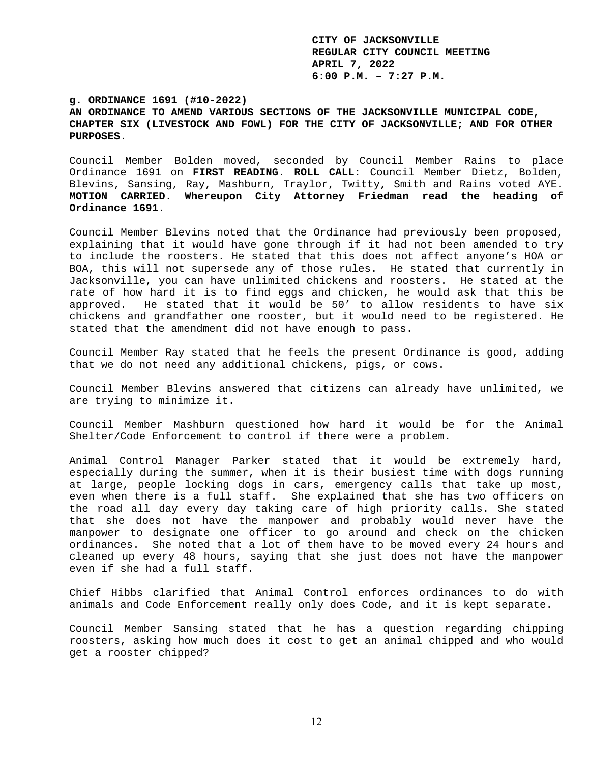**g. ORDINANCE 1691 (#10-2022) AN ORDINANCE TO AMEND VARIOUS SECTIONS OF THE JACKSONVILLE MUNICIPAL CODE, CHAPTER SIX (LIVESTOCK AND FOWL) FOR THE CITY OF JACKSONVILLE; AND FOR OTHER PURPOSES.** 

Council Member Bolden moved, seconded by Council Member Rains to place Ordinance 1691 on **FIRST READING**. **ROLL CALL**: Council Member Dietz, Bolden, Blevins, Sansing, Ray, Mashburn, Traylor, Twitty**,** Smith and Rains voted AYE. **MOTION CARRIED**. **Whereupon City Attorney Friedman read the heading of Ordinance 1691.** 

Council Member Blevins noted that the Ordinance had previously been proposed, explaining that it would have gone through if it had not been amended to try to include the roosters. He stated that this does not affect anyone's HOA or BOA, this will not supersede any of those rules. He stated that currently in Jacksonville, you can have unlimited chickens and roosters. He stated at the rate of how hard it is to find eggs and chicken, he would ask that this be approved. He stated that it would be 50' to allow residents to have six chickens and grandfather one rooster, but it would need to be registered. He stated that the amendment did not have enough to pass.

Council Member Ray stated that he feels the present Ordinance is good, adding that we do not need any additional chickens, pigs, or cows.

Council Member Blevins answered that citizens can already have unlimited, we are trying to minimize it.

Council Member Mashburn questioned how hard it would be for the Animal Shelter/Code Enforcement to control if there were a problem.

Animal Control Manager Parker stated that it would be extremely hard, especially during the summer, when it is their busiest time with dogs running at large, people locking dogs in cars, emergency calls that take up most, even when there is a full staff. She explained that she has two officers on the road all day every day taking care of high priority calls. She stated that she does not have the manpower and probably would never have the manpower to designate one officer to go around and check on the chicken ordinances. She noted that a lot of them have to be moved every 24 hours and cleaned up every 48 hours, saying that she just does not have the manpower even if she had a full staff.

Chief Hibbs clarified that Animal Control enforces ordinances to do with animals and Code Enforcement really only does Code, and it is kept separate.

Council Member Sansing stated that he has a question regarding chipping roosters, asking how much does it cost to get an animal chipped and who would get a rooster chipped?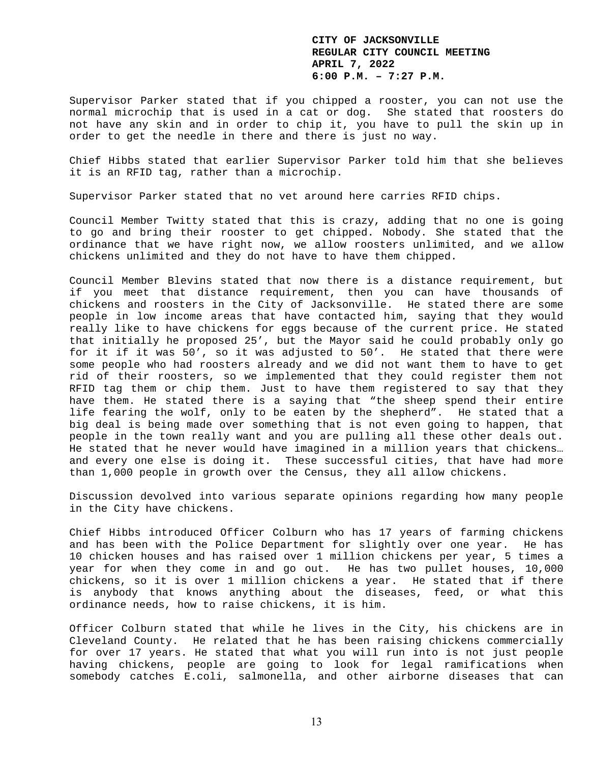Supervisor Parker stated that if you chipped a rooster, you can not use the normal microchip that is used in a cat or dog. She stated that roosters do not have any skin and in order to chip it, you have to pull the skin up in order to get the needle in there and there is just no way.

Chief Hibbs stated that earlier Supervisor Parker told him that she believes it is an RFID tag, rather than a microchip.

Supervisor Parker stated that no vet around here carries RFID chips.

Council Member Twitty stated that this is crazy, adding that no one is going to go and bring their rooster to get chipped. Nobody. She stated that the ordinance that we have right now, we allow roosters unlimited, and we allow chickens unlimited and they do not have to have them chipped.

Council Member Blevins stated that now there is a distance requirement, but if you meet that distance requirement, then you can have thousands of chickens and roosters in the City of Jacksonville. He stated there are some people in low income areas that have contacted him, saying that they would really like to have chickens for eggs because of the current price. He stated that initially he proposed 25', but the Mayor said he could probably only go for it if it was 50', so it was adjusted to 50'. He stated that there were some people who had roosters already and we did not want them to have to get rid of their roosters, so we implemented that they could register them not RFID tag them or chip them. Just to have them registered to say that they have them. He stated there is a saying that "the sheep spend their entire life fearing the wolf, only to be eaten by the shepherd". He stated that a big deal is being made over something that is not even going to happen, that people in the town really want and you are pulling all these other deals out. He stated that he never would have imagined in a million years that chickens… and every one else is doing it. These successful cities, that have had more than 1,000 people in growth over the Census, they all allow chickens.

Discussion devolved into various separate opinions regarding how many people in the City have chickens.

Chief Hibbs introduced Officer Colburn who has 17 years of farming chickens and has been with the Police Department for slightly over one year. He has 10 chicken houses and has raised over 1 million chickens per year, 5 times a year for when they come in and go out. He has two pullet houses, 10,000 chickens, so it is over 1 million chickens a year. He stated that if there is anybody that knows anything about the diseases, feed, or what this ordinance needs, how to raise chickens, it is him.

Officer Colburn stated that while he lives in the City, his chickens are in Cleveland County. He related that he has been raising chickens commercially for over 17 years. He stated that what you will run into is not just people having chickens, people are going to look for legal ramifications when somebody catches E.coli, salmonella, and other airborne diseases that can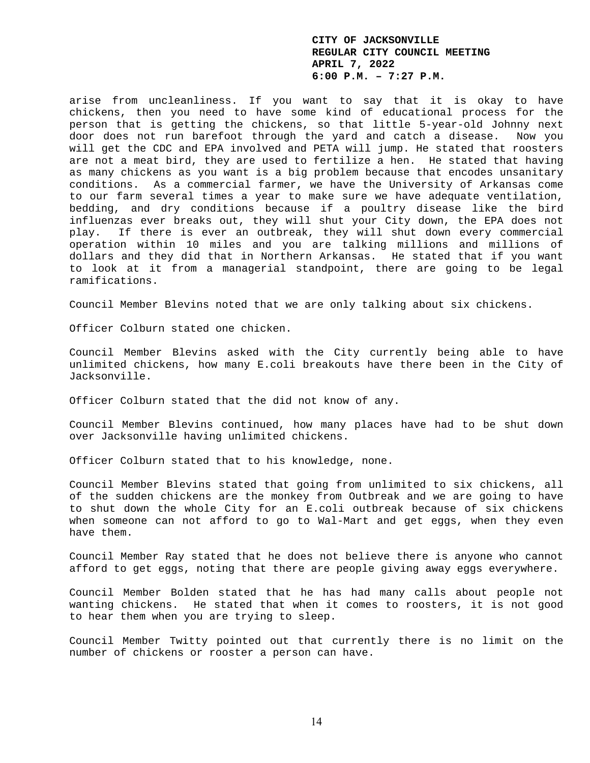arise from uncleanliness. If you want to say that it is okay to have chickens, then you need to have some kind of educational process for the person that is getting the chickens, so that little 5-year-old Johnny next door does not run barefoot through the yard and catch a disease. Now you will get the CDC and EPA involved and PETA will jump. He stated that roosters are not a meat bird, they are used to fertilize a hen. He stated that having as many chickens as you want is a big problem because that encodes unsanitary conditions. As a commercial farmer, we have the University of Arkansas come to our farm several times a year to make sure we have adequate ventilation, bedding, and dry conditions because if a poultry disease like the bird influenzas ever breaks out, they will shut your City down, the EPA does not play. If there is ever an outbreak, they will shut down every commercial operation within 10 miles and you are talking millions and millions of dollars and they did that in Northern Arkansas. He stated that if you want to look at it from a managerial standpoint, there are going to be legal ramifications.

Council Member Blevins noted that we are only talking about six chickens.

Officer Colburn stated one chicken.

Council Member Blevins asked with the City currently being able to have unlimited chickens, how many E.coli breakouts have there been in the City of Jacksonville.

Officer Colburn stated that the did not know of any.

Council Member Blevins continued, how many places have had to be shut down over Jacksonville having unlimited chickens.

Officer Colburn stated that to his knowledge, none.

Council Member Blevins stated that going from unlimited to six chickens, all of the sudden chickens are the monkey from Outbreak and we are going to have to shut down the whole City for an E.coli outbreak because of six chickens when someone can not afford to go to Wal-Mart and get eggs, when they even have them.

Council Member Ray stated that he does not believe there is anyone who cannot afford to get eggs, noting that there are people giving away eggs everywhere.

Council Member Bolden stated that he has had many calls about people not wanting chickens. He stated that when it comes to roosters, it is not good to hear them when you are trying to sleep.

Council Member Twitty pointed out that currently there is no limit on the number of chickens or rooster a person can have.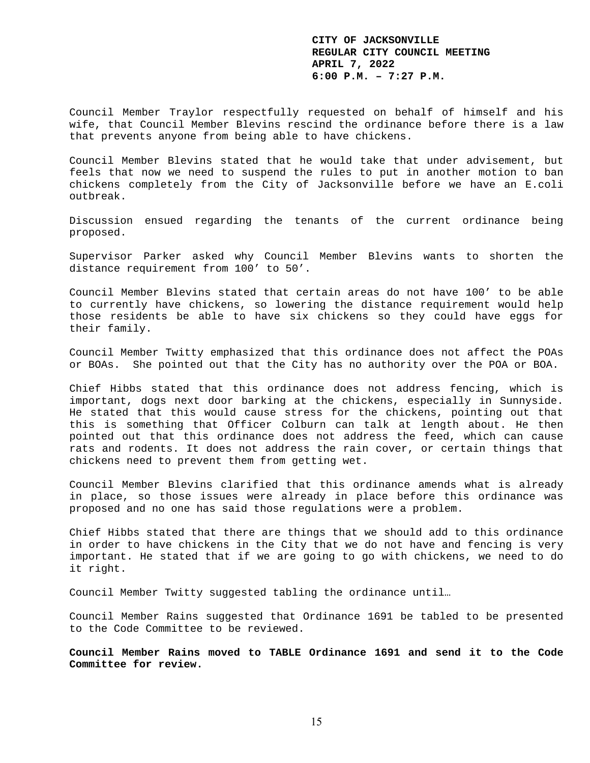Council Member Traylor respectfully requested on behalf of himself and his wife, that Council Member Blevins rescind the ordinance before there is a law that prevents anyone from being able to have chickens.

Council Member Blevins stated that he would take that under advisement, but feels that now we need to suspend the rules to put in another motion to ban chickens completely from the City of Jacksonville before we have an E.coli outbreak.

Discussion ensued regarding the tenants of the current ordinance being proposed.

Supervisor Parker asked why Council Member Blevins wants to shorten the distance requirement from 100' to 50'.

Council Member Blevins stated that certain areas do not have 100' to be able to currently have chickens, so lowering the distance requirement would help those residents be able to have six chickens so they could have eggs for their family.

Council Member Twitty emphasized that this ordinance does not affect the POAs or BOAs. She pointed out that the City has no authority over the POA or BOA.

Chief Hibbs stated that this ordinance does not address fencing, which is important, dogs next door barking at the chickens, especially in Sunnyside. He stated that this would cause stress for the chickens, pointing out that this is something that Officer Colburn can talk at length about. He then pointed out that this ordinance does not address the feed, which can cause rats and rodents. It does not address the rain cover, or certain things that chickens need to prevent them from getting wet.

Council Member Blevins clarified that this ordinance amends what is already in place, so those issues were already in place before this ordinance was proposed and no one has said those regulations were a problem.

Chief Hibbs stated that there are things that we should add to this ordinance in order to have chickens in the City that we do not have and fencing is very important. He stated that if we are going to go with chickens, we need to do it right.

Council Member Twitty suggested tabling the ordinance until…

Council Member Rains suggested that Ordinance 1691 be tabled to be presented to the Code Committee to be reviewed.

**Council Member Rains moved to TABLE Ordinance 1691 and send it to the Code Committee for review.**